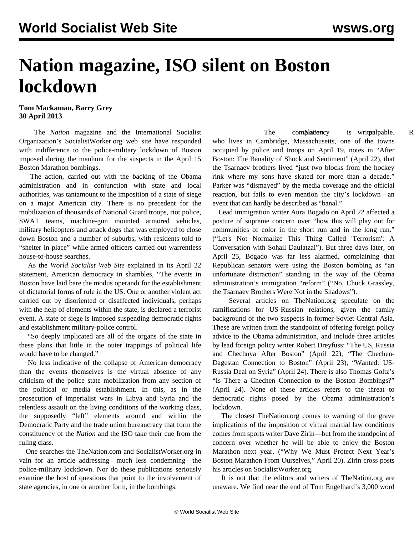## **Nation magazine, ISO silent on Boston lockdown**

**Tom Mackaman, Barry Grey 30 April 2013**

 The *Nation* magazine and the International Socialist Organization's SocialistWorker.org web site have responded with indifference to the police-military lockdown of Boston imposed during the manhunt for the suspects in the April 15 Boston Marathon bombings.

 The action, carried out with the backing of the Obama administration and in conjunction with state and local authorities, was tantamount to the imposition of a state of siege on a major American city. There is no precedent for the mobilization of thousands of National Guard troops, riot police, SWAT teams, machine-gun mounted armored vehicles, military helicopters and attack dogs that was employed to close down Boston and a number of suburbs, with residents told to "shelter in place" while armed officers carried out warrentless house-to-house searches.

 As the *World Socialist Web Site* explained in its April 22 statement, [American democracy in shambles,](/en/articles/2013/04/22/pers-a22.html) "The events in Boston have laid bare the modus operandi for the establishment of dictatorial forms of rule in the US. One or another violent act carried out by disoriented or disaffected individuals, perhaps with the help of elements within the state, is declared a terrorist event. A state of siege is imposed suspending democratic rights and establishment military-police control.

 "So deeply implicated are all of the organs of the state in these plans that little in the outer trappings of political life would have to be changed."

 No less indicative of the collapse of American democracy than the events themselves is the virtual absence of any criticism of the police state mobilization from any section of the political or media establishment. In this, as in the prosecution of imperialist wars in Libya and Syria and the relentless assault on the living conditions of the working class, the supposedly "left" elements around and within the Democratic Party and the trade union bureaucracy that form the constituency of the *Nation* and the ISO take their cue from the ruling class.

 One searches the TheNation.com and SocialistWorker.org in vain for an article addressing—much less condemning—the police-military lockdown. Nor do these publications seriously examine the host of questions that point to the involvement of state agencies, in one or another form, in the bombings.

The completion completion writer Parker, *National Parker*, *R* who lives in Cambridge, Massachusetts, one of the towns occupied by police and troops on April 19, notes in "After Boston: The Banality of Shock and Sentiment" (April 22), that the Tsarnaev brothers lived "just two blocks from the hockey rink where my sons have skated for more than a decade." Parker was "dismayed" by the media coverage and the official reaction, but fails to even mention the city's lockdown—an event that can hardly be described as "banal."

 Lead immigration writer Aura Bogado on April 22 affected a posture of supreme concern over "how this will play out for communities of color in the short run and in the long run." ("Let's Not Normalize This Thing Called 'Terrorism': A Conversation with Sohail Daulatzai"). But three days later, on April 25, Bogado was far less alarmed, complaining that Republican senators were using the Boston bombing as "an unfortunate distraction" standing in the way of the Obama administration's immigration "reform" ("No, Chuck Grassley, the Tsarnaev Brothers Were Not in the Shadows").

 Several articles on TheNation.org speculate on the ramifications for US-Russian relations, given the family background of the two suspects in former-Soviet Central Asia. These are written from the standpoint of offering foreign policy advice to the Obama administration, and include three articles by lead foreign policy writer Robert Dreyfuss: "The US, Russia and Chechnya After Boston" (April 22), "The Chechen-Dagestan Connection to Boston" (April 23), "Wanted: US-Russia Deal on Syria" (April 24). There is also Thomas Goltz's "Is There a Chechen Connection to the Boston Bombings?" (April 24). None of these articles refers to the threat to democratic rights posed by the Obama administration's lockdown.

 The closest TheNation.org comes to warning of the grave implications of the imposition of virtual martial law conditions comes from sports writer Dave Zirin—but from the standpoint of concern over whether he will be able to enjoy the Boston Marathon next year. ("Why We Must Protect Next Year's Boston Marathon From Ourselves," April 20). Zirin cross posts his articles on SocialistWorker.org.

 It is not that the editors and writers of TheNation.org are unaware. We find near the end of Tom Engelhard's 3,000 word